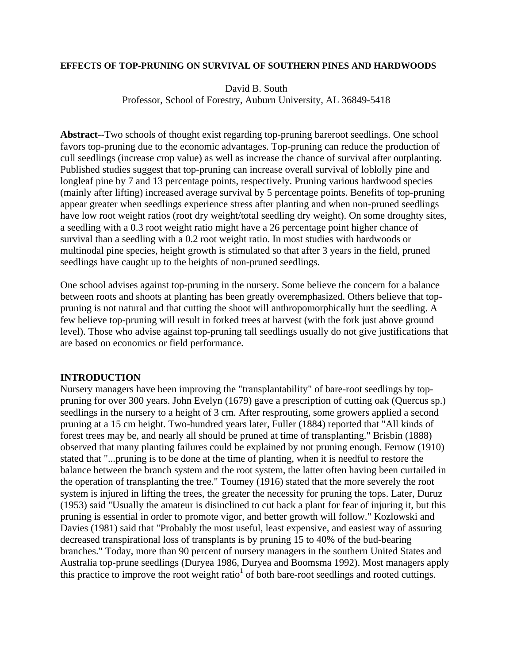### **EFFECTS OF TOP-PRUNING ON SURVIVAL OF SOUTHERN PINES AND HARDWOODS**

### David B. South

Professor, School of Forestry, Auburn University, AL 36849-5418

**Abstract**--Two schools of thought exist regarding top-pruning bareroot seedlings. One school favors top-pruning due to the economic advantages. Top-pruning can reduce the production of cull seedlings (increase crop value) as well as increase the chance of survival after outplanting. Published studies suggest that top-pruning can increase overall survival of loblolly pine and longleaf pine by 7 and 13 percentage points, respectively. Pruning various hardwood species (mainly after lifting) increased average survival by 5 percentage points. Benefits of top-pruning appear greater when seedlings experience stress after planting and when non-pruned seedlings have low root weight ratios (root dry weight/total seedling dry weight). On some droughty sites, a seedling with a 0.3 root weight ratio might have a 26 percentage point higher chance of survival than a seedling with a 0.2 root weight ratio. In most studies with hardwoods or multinodal pine species, height growth is stimulated so that after 3 years in the field, pruned seedlings have caught up to the heights of non-pruned seedlings.

One school advises against top-pruning in the nursery. Some believe the concern for a balance between roots and shoots at planting has been greatly overemphasized. Others believe that toppruning is not natural and that cutting the shoot will anthropomorphically hurt the seedling. A few believe top-pruning will result in forked trees at harvest (with the fork just above ground level). Those who advise against top-pruning tall seedlings usually do not give justifications that are based on economics or field performance.

# **INTRODUCTION**

Nursery managers have been improving the "transplantability" of bare-root seedlings by toppruning for over 300 years. John Evelyn (1679) gave a prescription of cutting oak (Quercus sp.) seedlings in the nursery to a height of 3 cm. After resprouting, some growers applied a second pruning at a 15 cm height. Two-hundred years later, Fuller (1884) reported that "All kinds of forest trees may be, and nearly all should be pruned at time of transplanting." Brisbin (1888) observed that many planting failures could be explained by not pruning enough. Fernow (1910) stated that "...pruning is to be done at the time of planting, when it is needful to restore the balance between the branch system and the root system, the latter often having been curtailed in the operation of transplanting the tree." Toumey (1916) stated that the more severely the root system is injured in lifting the trees, the greater the necessity for pruning the tops. Later, Duruz (1953) said "Usually the amateur is disinclined to cut back a plant for fear of injuring it, but this pruning is essential in order to promote vigor, and better growth will follow." Kozlowski and Davies (1981) said that "Probably the most useful, least expensive, and easiest way of assuring decreased transpirational loss of transplants is by pruning 15 to 40% of the bud-bearing branches." Today, more than 90 percent of nursery managers in the southern United States and Australia top-prune seedlings (Duryea 1986, Duryea and Boomsma 1992). Most managers apply this practice to improve the root weight ratio<sup>1</sup> of both bare-root seedlings and rooted cuttings.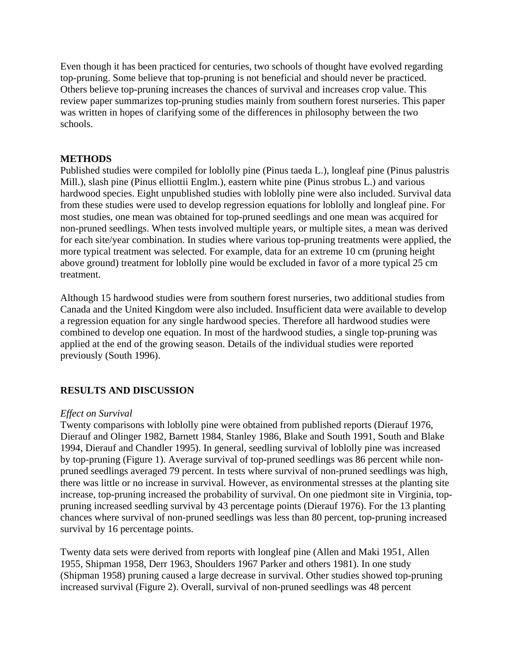Even though it has been practiced for centuries, two schools of thought have evolved regarding top-pruning. Some believe that top-pruning is not beneficial and should never be practiced. Others believe top-pruning increases the chances of survival and increases crop value. This review paper summarizes top-pruning studies mainly from southern forest nurseries. This paper was written in hopes of clarifying some of the differences in philosophy between the two schools.

## **METHODS**

Published studies were compiled for loblolly pine (Pinus taeda L.), longleaf pine (Pinus palustris Mill.), slash pine (Pinus elliottii Englm.), eastern white pine (Pinus strobus L.) and various hardwood species. Eight unpublished studies with loblolly pine were also included. Survival data from these studies were used to develop regression equations for loblolly and longleaf pine. For most studies, one mean was obtained for top-pruned seedlings and one mean was acquired for non-pruned seedlings. When tests involved multiple years, or multiple sites, a mean was derived for each site/year combination. In studies where various top-pruning treatments were applied, the more typical treatment was selected. For example, data for an extreme 10 cm (pruning height above ground) treatment for loblolly pine would be excluded in favor of a more typical 25 cm treatment.

Although 15 hardwood studies were from southern forest nurseries, two additional studies from Canada and the United Kingdom were also included. Insufficient data were available to develop a regression equation for any single hardwood species. Therefore all hardwood studies were combined to develop one equation. In most of the hardwood studies, a single top-pruning was applied at the end of the growing season. Details of the individual studies were reported previously (South 1996).

## **RESULTS AND DISCUSSION**

## *Effect on Survival*

Twenty comparisons with loblolly pine were obtained from published reports (Dierauf 1976, Dierauf and Olinger 1982, Barnett 1984, Stanley 1986, Blake and South 1991, South and Blake 1994, Dierauf and Chandler 1995). In general, seedling survival of loblolly pine was increased by top-pruning (Figure 1). Average survival of top-pruned seedlings was 86 percent while nonpruned seedlings averaged 79 percent. In tests where survival of non-pruned seedlings was high, there was little or no increase in survival. However, as environmental stresses at the planting site increase, top-pruning increased the probability of survival. On one piedmont site in Virginia, toppruning increased seedling survival by 43 percentage points (Dierauf 1976). For the 13 planting chances where survival of non-pruned seedlings was less than 80 percent, top-pruning increased survival by 16 percentage points.

Twenty data sets were derived from reports with longleaf pine (Allen and Maki 1951, Allen 1955, Shipman 1958, Derr 1963, Shoulders 1967 Parker and others 1981). In one study (Shipman 1958) pruning caused a large decrease in survival. Other studies showed top-pruning increased survival (Figure 2). Overall, survival of non-pruned seedlings was 48 percent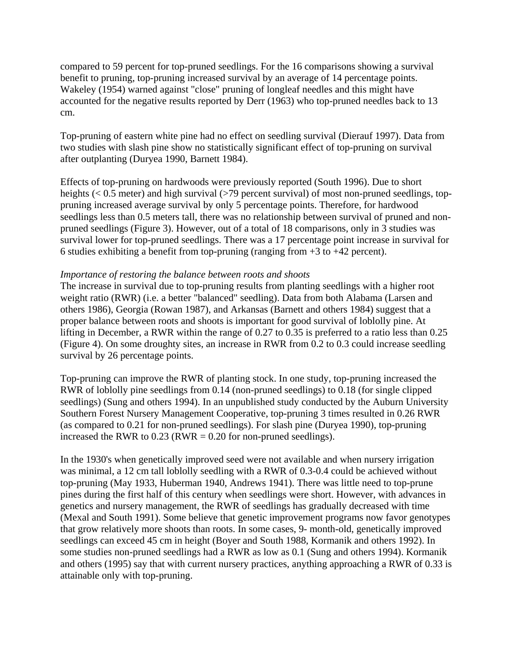compared to 59 percent for top-pruned seedlings. For the 16 comparisons showing a survival benefit to pruning, top-pruning increased survival by an average of 14 percentage points. Wakeley (1954) warned against "close" pruning of longleaf needles and this might have accounted for the negative results reported by Derr (1963) who top-pruned needles back to 13 cm.

Top-pruning of eastern white pine had no effect on seedling survival (Dierauf 1997). Data from two studies with slash pine show no statistically significant effect of top-pruning on survival after outplanting (Duryea 1990, Barnett 1984).

Effects of top-pruning on hardwoods were previously reported (South 1996). Due to short heights (< 0.5 meter) and high survival (>79 percent survival) of most non-pruned seedlings, toppruning increased average survival by only 5 percentage points. Therefore, for hardwood seedlings less than 0.5 meters tall, there was no relationship between survival of pruned and nonpruned seedlings (Figure 3). However, out of a total of 18 comparisons, only in 3 studies was survival lower for top-pruned seedlings. There was a 17 percentage point increase in survival for 6 studies exhibiting a benefit from top-pruning (ranging from  $+3$  to  $+42$  percent).

## *Importance of restoring the balance between roots and shoots*

The increase in survival due to top-pruning results from planting seedlings with a higher root weight ratio (RWR) (i.e. a better "balanced" seedling). Data from both Alabama (Larsen and others 1986), Georgia (Rowan 1987), and Arkansas (Barnett and others 1984) suggest that a proper balance between roots and shoots is important for good survival of loblolly pine. At lifting in December, a RWR within the range of 0.27 to 0.35 is preferred to a ratio less than 0.25 (Figure 4). On some droughty sites, an increase in RWR from 0.2 to 0.3 could increase seedling survival by 26 percentage points.

Top-pruning can improve the RWR of planting stock. In one study, top-pruning increased the RWR of loblolly pine seedlings from 0.14 (non-pruned seedlings) to 0.18 (for single clipped seedlings) (Sung and others 1994). In an unpublished study conducted by the Auburn University Southern Forest Nursery Management Cooperative, top-pruning 3 times resulted in 0.26 RWR (as compared to 0.21 for non-pruned seedlings). For slash pine (Duryea 1990), top-pruning increased the RWR to  $0.23$  (RWR =  $0.20$  for non-pruned seedlings).

In the 1930's when genetically improved seed were not available and when nursery irrigation was minimal, a 12 cm tall loblolly seedling with a RWR of 0.3-0.4 could be achieved without top-pruning (May 1933, Huberman 1940, Andrews 1941). There was little need to top-prune pines during the first half of this century when seedlings were short. However, with advances in genetics and nursery management, the RWR of seedlings has gradually decreased with time (Mexal and South 1991). Some believe that genetic improvement programs now favor genotypes that grow relatively more shoots than roots. In some cases, 9- month-old, genetically improved seedlings can exceed 45 cm in height (Boyer and South 1988, Kormanik and others 1992). In some studies non-pruned seedlings had a RWR as low as 0.1 (Sung and others 1994). Kormanik and others (1995) say that with current nursery practices, anything approaching a RWR of 0.33 is attainable only with top-pruning.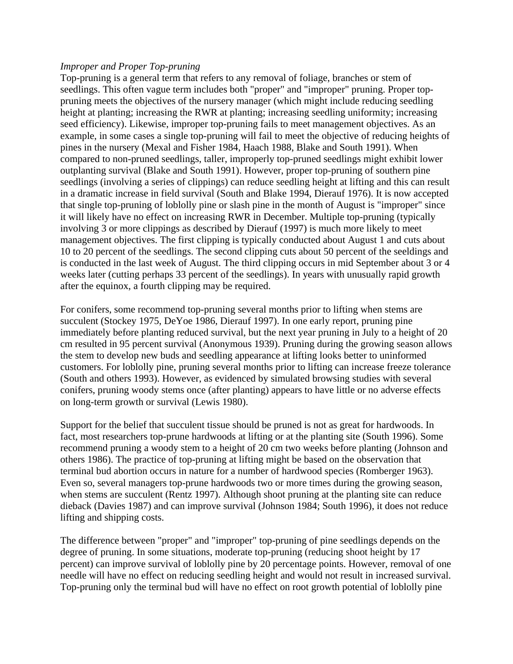## *Improper and Proper Top-pruning*

Top-pruning is a general term that refers to any removal of foliage, branches or stem of seedlings. This often vague term includes both "proper" and "improper" pruning. Proper toppruning meets the objectives of the nursery manager (which might include reducing seedling height at planting; increasing the RWR at planting; increasing seedling uniformity; increasing seed efficiency). Likewise, improper top-pruning fails to meet management objectives. As an example, in some cases a single top-pruning will fail to meet the objective of reducing heights of pines in the nursery (Mexal and Fisher 1984, Haach 1988, Blake and South 1991). When compared to non-pruned seedlings, taller, improperly top-pruned seedlings might exhibit lower outplanting survival (Blake and South 1991). However, proper top-pruning of southern pine seedlings (involving a series of clippings) can reduce seedling height at lifting and this can result in a dramatic increase in field survival (South and Blake 1994, Dierauf 1976). It is now accepted that single top-pruning of loblolly pine or slash pine in the month of August is "improper" since it will likely have no effect on increasing RWR in December. Multiple top-pruning (typically involving 3 or more clippings as described by Dierauf (1997) is much more likely to meet management objectives. The first clipping is typically conducted about August 1 and cuts about 10 to 20 percent of the seedlings. The second clipping cuts about 50 percent of the seeldings and is conducted in the last week of August. The third clipping occurs in mid September about 3 or 4 weeks later (cutting perhaps 33 percent of the seedlings). In years with unusually rapid growth after the equinox, a fourth clipping may be required.

For conifers, some recommend top-pruning several months prior to lifting when stems are succulent (Stockey 1975, DeYoe 1986, Dierauf 1997). In one early report, pruning pine immediately before planting reduced survival, but the next year pruning in July to a height of 20 cm resulted in 95 percent survival (Anonymous 1939). Pruning during the growing season allows the stem to develop new buds and seedling appearance at lifting looks better to uninformed customers. For loblolly pine, pruning several months prior to lifting can increase freeze tolerance (South and others 1993). However, as evidenced by simulated browsing studies with several conifers, pruning woody stems once (after planting) appears to have little or no adverse effects on long-term growth or survival (Lewis 1980).

Support for the belief that succulent tissue should be pruned is not as great for hardwoods. In fact, most researchers top-prune hardwoods at lifting or at the planting site (South 1996). Some recommend pruning a woody stem to a height of 20 cm two weeks before planting (Johnson and others 1986). The practice of top-pruning at lifting might be based on the observation that terminal bud abortion occurs in nature for a number of hardwood species (Romberger 1963). Even so, several managers top-prune hardwoods two or more times during the growing season, when stems are succulent (Rentz 1997). Although shoot pruning at the planting site can reduce dieback (Davies 1987) and can improve survival (Johnson 1984; South 1996), it does not reduce lifting and shipping costs.

The difference between "proper" and "improper" top-pruning of pine seedlings depends on the degree of pruning. In some situations, moderate top-pruning (reducing shoot height by 17 percent) can improve survival of loblolly pine by 20 percentage points. However, removal of one needle will have no effect on reducing seedling height and would not result in increased survival. Top-pruning only the terminal bud will have no effect on root growth potential of loblolly pine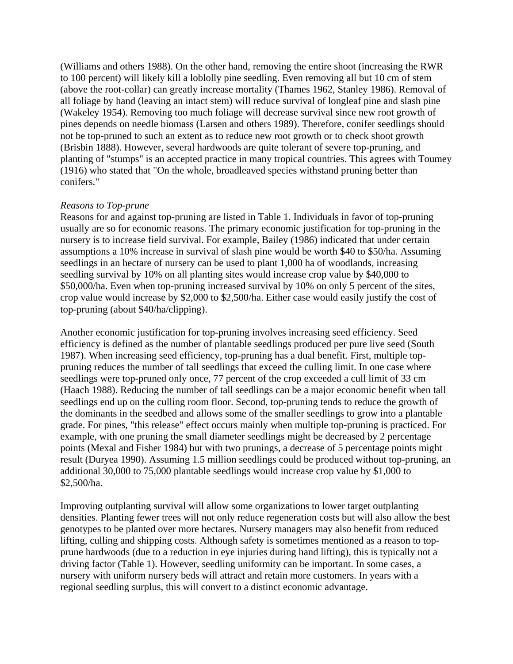(Williams and others 1988). On the other hand, removing the entire shoot (increasing the RWR to 100 percent) will likely kill a loblolly pine seedling. Even removing all but 10 cm of stem (above the root-collar) can greatly increase mortality (Thames 1962, Stanley 1986). Removal of all foliage by hand (leaving an intact stem) will reduce survival of longleaf pine and slash pine (Wakeley 1954). Removing too much foliage will decrease survival since new root growth of pines depends on needle biomass (Larsen and others 1989). Therefore, conifer seedlings should not be top-pruned to such an extent as to reduce new root growth or to check shoot growth (Brisbin 1888). However, several hardwoods are quite tolerant of severe top-pruning, and planting of "stumps" is an accepted practice in many tropical countries. This agrees with Toumey (1916) who stated that "On the whole, broadleaved species withstand pruning better than conifers."

### *Reasons to Top-prune*

Reasons for and against top-pruning are listed in Table 1. Individuals in favor of top-pruning usually are so for economic reasons. The primary economic justification for top-pruning in the nursery is to increase field survival. For example, Bailey (1986) indicated that under certain assumptions a 10% increase in survival of slash pine would be worth \$40 to \$50/ha. Assuming seedlings in an hectare of nursery can be used to plant 1,000 ha of woodlands, increasing seedling survival by 10% on all planting sites would increase crop value by \$40,000 to \$50,000/ha. Even when top-pruning increased survival by 10% on only 5 percent of the sites, crop value would increase by \$2,000 to \$2,500/ha. Either case would easily justify the cost of top-pruning (about \$40/ha/clipping).

Another economic justification for top-pruning involves increasing seed efficiency. Seed efficiency is defined as the number of plantable seedlings produced per pure live seed (South 1987). When increasing seed efficiency, top-pruning has a dual benefit. First, multiple toppruning reduces the number of tall seedlings that exceed the culling limit. In one case where seedlings were top-pruned only once, 77 percent of the crop exceeded a cull limit of 33 cm (Haach 1988). Reducing the number of tall seedlings can be a major economic benefit when tall seedlings end up on the culling room floor. Second, top-pruning tends to reduce the growth of the dominants in the seedbed and allows some of the smaller seedlings to grow into a plantable grade. For pines, "this release" effect occurs mainly when multiple top-pruning is practiced. For example, with one pruning the small diameter seedlings might be decreased by 2 percentage points (Mexal and Fisher 1984) but with two prunings, a decrease of 5 percentage points might result (Duryea 1990). Assuming 1.5 million seedlings could be produced without top-pruning, an additional 30,000 to 75,000 plantable seedlings would increase crop value by \$1,000 to \$2,500/ha.

Improving outplanting survival will allow some organizations to lower target outplanting densities. Planting fewer trees will not only reduce regeneration costs but will also allow the best genotypes to be planted over more hectares. Nursery managers may also benefit from reduced lifting, culling and shipping costs. Although safety is sometimes mentioned as a reason to topprune hardwoods (due to a reduction in eye injuries during hand lifting), this is typically not a driving factor (Table 1). However, seedling uniformity can be important. In some cases, a nursery with uniform nursery beds will attract and retain more customers. In years with a regional seedling surplus, this will convert to a distinct economic advantage.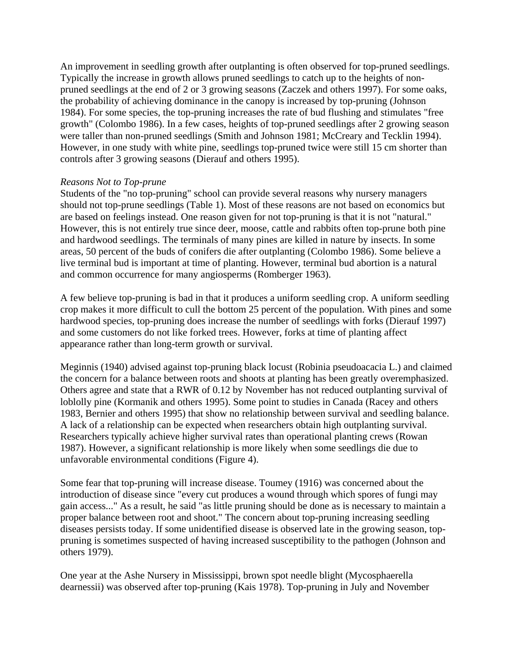An improvement in seedling growth after outplanting is often observed for top-pruned seedlings. Typically the increase in growth allows pruned seedlings to catch up to the heights of nonpruned seedlings at the end of 2 or 3 growing seasons (Zaczek and others 1997). For some oaks, the probability of achieving dominance in the canopy is increased by top-pruning (Johnson 1984). For some species, the top-pruning increases the rate of bud flushing and stimulates "free growth" (Colombo 1986). In a few cases, heights of top-pruned seedlings after 2 growing season were taller than non-pruned seedlings (Smith and Johnson 1981; McCreary and Tecklin 1994). However, in one study with white pine, seedlings top-pruned twice were still 15 cm shorter than controls after 3 growing seasons (Dierauf and others 1995).

## *Reasons Not to Top-prune*

Students of the "no top-pruning" school can provide several reasons why nursery managers should not top-prune seedlings (Table 1). Most of these reasons are not based on economics but are based on feelings instead. One reason given for not top-pruning is that it is not "natural." However, this is not entirely true since deer, moose, cattle and rabbits often top-prune both pine and hardwood seedlings. The terminals of many pines are killed in nature by insects. In some areas, 50 percent of the buds of conifers die after outplanting (Colombo 1986). Some believe a live terminal bud is important at time of planting. However, terminal bud abortion is a natural and common occurrence for many angiosperms (Romberger 1963).

A few believe top-pruning is bad in that it produces a uniform seedling crop. A uniform seedling crop makes it more difficult to cull the bottom 25 percent of the population. With pines and some hardwood species, top-pruning does increase the number of seedlings with forks (Dierauf 1997) and some customers do not like forked trees. However, forks at time of planting affect appearance rather than long-term growth or survival.

Meginnis (1940) advised against top-pruning black locust (Robinia pseudoacacia L.) and claimed the concern for a balance between roots and shoots at planting has been greatly overemphasized. Others agree and state that a RWR of 0.12 by November has not reduced outplanting survival of loblolly pine (Kormanik and others 1995). Some point to studies in Canada (Racey and others 1983, Bernier and others 1995) that show no relationship between survival and seedling balance. A lack of a relationship can be expected when researchers obtain high outplanting survival. Researchers typically achieve higher survival rates than operational planting crews (Rowan 1987). However, a significant relationship is more likely when some seedlings die due to unfavorable environmental conditions (Figure 4).

Some fear that top-pruning will increase disease. Toumey (1916) was concerned about the introduction of disease since "every cut produces a wound through which spores of fungi may gain access..." As a result, he said "as little pruning should be done as is necessary to maintain a proper balance between root and shoot." The concern about top-pruning increasing seedling diseases persists today. If some unidentified disease is observed late in the growing season, toppruning is sometimes suspected of having increased susceptibility to the pathogen (Johnson and others 1979).

One year at the Ashe Nursery in Mississippi, brown spot needle blight (Mycosphaerella dearnessii) was observed after top-pruning (Kais 1978). Top-pruning in July and November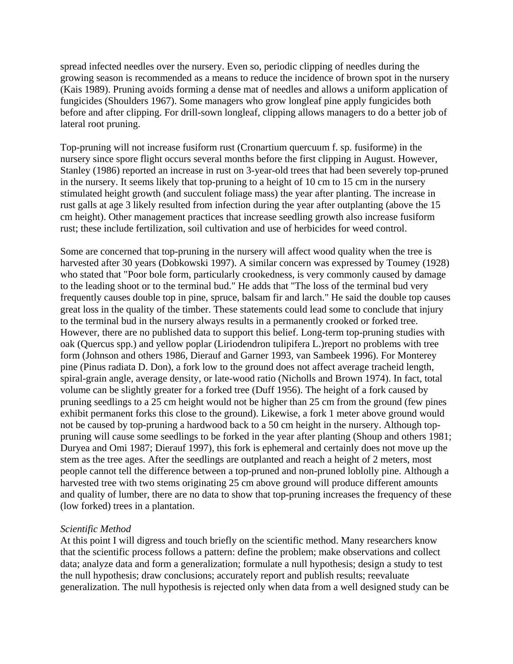spread infected needles over the nursery. Even so, periodic clipping of needles during the growing season is recommended as a means to reduce the incidence of brown spot in the nursery (Kais 1989). Pruning avoids forming a dense mat of needles and allows a uniform application of fungicides (Shoulders 1967). Some managers who grow longleaf pine apply fungicides both before and after clipping. For drill-sown longleaf, clipping allows managers to do a better job of lateral root pruning.

Top-pruning will not increase fusiform rust (Cronartium quercuum f. sp. fusiforme) in the nursery since spore flight occurs several months before the first clipping in August. However, Stanley (1986) reported an increase in rust on 3-year-old trees that had been severely top-pruned in the nursery. It seems likely that top-pruning to a height of 10 cm to 15 cm in the nursery stimulated height growth (and succulent foliage mass) the year after planting. The increase in rust galls at age 3 likely resulted from infection during the year after outplanting (above the 15 cm height). Other management practices that increase seedling growth also increase fusiform rust; these include fertilization, soil cultivation and use of herbicides for weed control.

Some are concerned that top-pruning in the nursery will affect wood quality when the tree is harvested after 30 years (Dobkowski 1997). A similar concern was expressed by Toumey (1928) who stated that "Poor bole form, particularly crookedness, is very commonly caused by damage to the leading shoot or to the terminal bud." He adds that "The loss of the terminal bud very frequently causes double top in pine, spruce, balsam fir and larch." He said the double top causes great loss in the quality of the timber. These statements could lead some to conclude that injury to the terminal bud in the nursery always results in a permanently crooked or forked tree. However, there are no published data to support this belief. Long-term top-pruning studies with oak (Quercus spp.) and yellow poplar (Liriodendron tulipifera L.)report no problems with tree form (Johnson and others 1986, Dierauf and Garner 1993, van Sambeek 1996). For Monterey pine (Pinus radiata D. Don), a fork low to the ground does not affect average tracheid length, spiral-grain angle, average density, or late-wood ratio (Nicholls and Brown 1974). In fact, total volume can be slightly greater for a forked tree (Duff 1956). The height of a fork caused by pruning seedlings to a 25 cm height would not be higher than 25 cm from the ground (few pines exhibit permanent forks this close to the ground). Likewise, a fork 1 meter above ground would not be caused by top-pruning a hardwood back to a 50 cm height in the nursery. Although toppruning will cause some seedlings to be forked in the year after planting (Shoup and others 1981; Duryea and Omi 1987; Dierauf 1997), this fork is ephemeral and certainly does not move up the stem as the tree ages. After the seedlings are outplanted and reach a height of 2 meters, most people cannot tell the difference between a top-pruned and non-pruned loblolly pine. Although a harvested tree with two stems originating 25 cm above ground will produce different amounts and quality of lumber, there are no data to show that top-pruning increases the frequency of these (low forked) trees in a plantation.

### *Scientific Method*

At this point I will digress and touch briefly on the scientific method. Many researchers know that the scientific process follows a pattern: define the problem; make observations and collect data; analyze data and form a generalization; formulate a null hypothesis; design a study to test the null hypothesis; draw conclusions; accurately report and publish results; reevaluate generalization. The null hypothesis is rejected only when data from a well designed study can be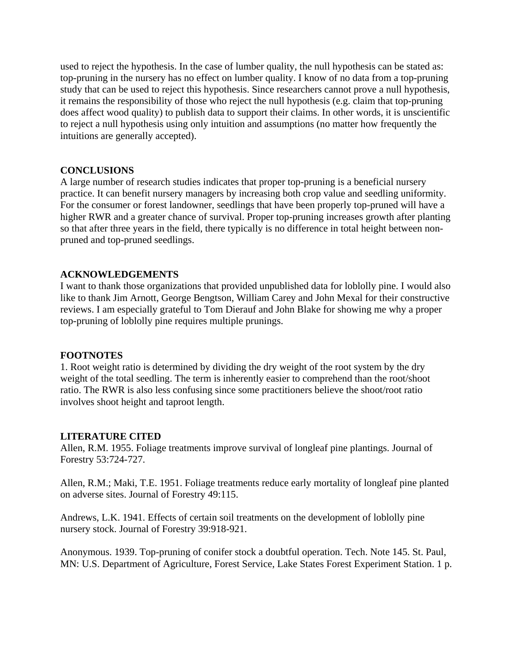used to reject the hypothesis. In the case of lumber quality, the null hypothesis can be stated as: top-pruning in the nursery has no effect on lumber quality. I know of no data from a top-pruning study that can be used to reject this hypothesis. Since researchers cannot prove a null hypothesis, it remains the responsibility of those who reject the null hypothesis (e.g. claim that top-pruning does affect wood quality) to publish data to support their claims. In other words, it is unscientific to reject a null hypothesis using only intuition and assumptions (no matter how frequently the intuitions are generally accepted).

## **CONCLUSIONS**

A large number of research studies indicates that proper top-pruning is a beneficial nursery practice. It can benefit nursery managers by increasing both crop value and seedling uniformity. For the consumer or forest landowner, seedlings that have been properly top-pruned will have a higher RWR and a greater chance of survival. Proper top-pruning increases growth after planting so that after three years in the field, there typically is no difference in total height between nonpruned and top-pruned seedlings.

## **ACKNOWLEDGEMENTS**

I want to thank those organizations that provided unpublished data for loblolly pine. I would also like to thank Jim Arnott, George Bengtson, William Carey and John Mexal for their constructive reviews. I am especially grateful to Tom Dierauf and John Blake for showing me why a proper top-pruning of loblolly pine requires multiple prunings.

### **FOOTNOTES**

1. Root weight ratio is determined by dividing the dry weight of the root system by the dry weight of the total seedling. The term is inherently easier to comprehend than the root/shoot ratio. The RWR is also less confusing since some practitioners believe the shoot/root ratio involves shoot height and taproot length.

### **LITERATURE CITED**

Allen, R.M. 1955. Foliage treatments improve survival of longleaf pine plantings. Journal of Forestry 53:724-727.

Allen, R.M.; Maki, T.E. 1951. Foliage treatments reduce early mortality of longleaf pine planted on adverse sites. Journal of Forestry 49:115.

Andrews, L.K. 1941. Effects of certain soil treatments on the development of loblolly pine nursery stock. Journal of Forestry 39:918-921.

Anonymous. 1939. Top-pruning of conifer stock a doubtful operation. Tech. Note 145. St. Paul, MN: U.S. Department of Agriculture, Forest Service, Lake States Forest Experiment Station. 1 p.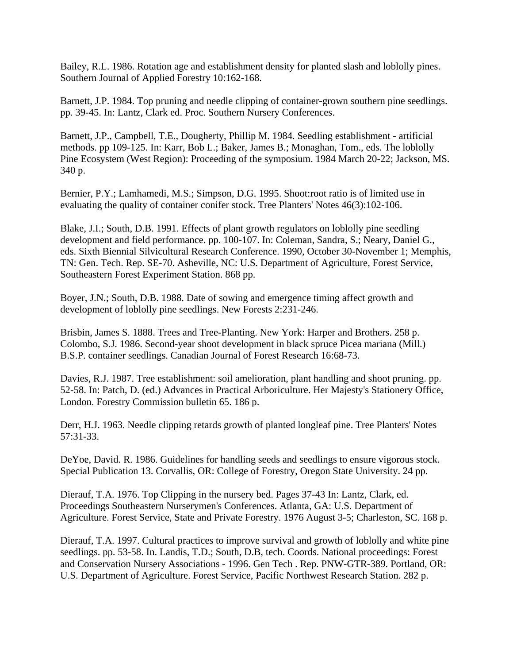Bailey, R.L. 1986. Rotation age and establishment density for planted slash and loblolly pines. Southern Journal of Applied Forestry 10:162-168.

Barnett, J.P. 1984. Top pruning and needle clipping of container-grown southern pine seedlings. pp. 39-45. In: Lantz, Clark ed. Proc. Southern Nursery Conferences.

Barnett, J.P., Campbell, T.E., Dougherty, Phillip M. 1984. Seedling establishment - artificial methods. pp 109-125. In: Karr, Bob L.; Baker, James B.; Monaghan, Tom., eds. The loblolly Pine Ecosystem (West Region): Proceeding of the symposium. 1984 March 20-22; Jackson, MS. 340 p.

Bernier, P.Y.; Lamhamedi, M.S.; Simpson, D.G. 1995. Shoot:root ratio is of limited use in evaluating the quality of container conifer stock. Tree Planters' Notes 46(3):102-106.

Blake, J.I.; South, D.B. 1991. Effects of plant growth regulators on loblolly pine seedling development and field performance. pp. 100-107. In: Coleman, Sandra, S.; Neary, Daniel G., eds. Sixth Biennial Silvicultural Research Conference. 1990, October 30-November 1; Memphis, TN: Gen. Tech. Rep. SE-70. Asheville, NC: U.S. Department of Agriculture, Forest Service, Southeastern Forest Experiment Station. 868 pp.

Boyer, J.N.; South, D.B. 1988. Date of sowing and emergence timing affect growth and development of loblolly pine seedlings. New Forests 2:231-246.

Brisbin, James S. 1888. Trees and Tree-Planting. New York: Harper and Brothers. 258 p. Colombo, S.J. 1986. Second-year shoot development in black spruce Picea mariana (Mill.) B.S.P. container seedlings. Canadian Journal of Forest Research 16:68-73.

Davies, R.J. 1987. Tree establishment: soil amelioration, plant handling and shoot pruning. pp. 52-58. In: Patch, D. (ed.) Advances in Practical Arboriculture. Her Majesty's Stationery Office, London. Forestry Commission bulletin 65. 186 p.

Derr, H.J. 1963. Needle clipping retards growth of planted longleaf pine. Tree Planters' Notes 57:31-33.

DeYoe, David. R. 1986. Guidelines for handling seeds and seedlings to ensure vigorous stock. Special Publication 13. Corvallis, OR: College of Forestry, Oregon State University. 24 pp.

Dierauf, T.A. 1976. Top Clipping in the nursery bed. Pages 37-43 In: Lantz, Clark, ed. Proceedings Southeastern Nurserymen's Conferences. Atlanta, GA: U.S. Department of Agriculture. Forest Service, State and Private Forestry. 1976 August 3-5; Charleston, SC. 168 p.

Dierauf, T.A. 1997. Cultural practices to improve survival and growth of loblolly and white pine seedlings. pp. 53-58. In. Landis, T.D.; South, D.B, tech. Coords. National proceedings: Forest and Conservation Nursery Associations - 1996. Gen Tech . Rep. PNW-GTR-389. Portland, OR: U.S. Department of Agriculture. Forest Service, Pacific Northwest Research Station. 282 p.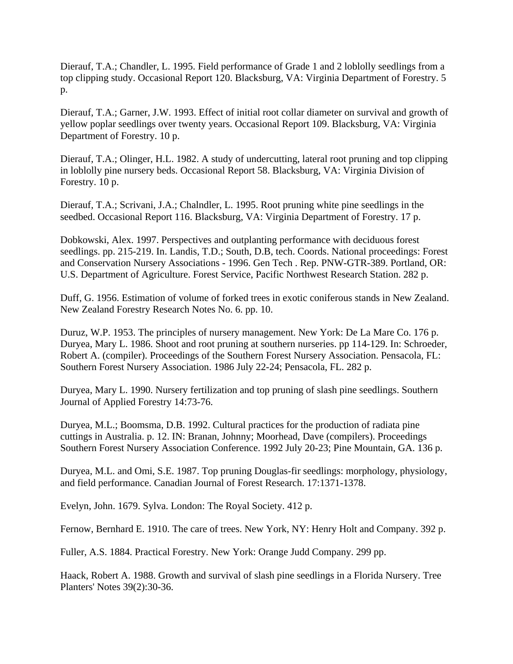Dierauf, T.A.; Chandler, L. 1995. Field performance of Grade 1 and 2 loblolly seedlings from a top clipping study. Occasional Report 120. Blacksburg, VA: Virginia Department of Forestry. 5 p.

Dierauf, T.A.; Garner, J.W. 1993. Effect of initial root collar diameter on survival and growth of yellow poplar seedlings over twenty years. Occasional Report 109. Blacksburg, VA: Virginia Department of Forestry. 10 p.

Dierauf, T.A.; Olinger, H.L. 1982. A study of undercutting, lateral root pruning and top clipping in loblolly pine nursery beds. Occasional Report 58. Blacksburg, VA: Virginia Division of Forestry. 10 p.

Dierauf, T.A.; Scrivani, J.A.; Chalndler, L. 1995. Root pruning white pine seedlings in the seedbed. Occasional Report 116. Blacksburg, VA: Virginia Department of Forestry. 17 p.

Dobkowski, Alex. 1997. Perspectives and outplanting performance with deciduous forest seedlings. pp. 215-219. In. Landis, T.D.; South, D.B, tech. Coords. National proceedings: Forest and Conservation Nursery Associations - 1996. Gen Tech . Rep. PNW-GTR-389. Portland, OR: U.S. Department of Agriculture. Forest Service, Pacific Northwest Research Station. 282 p.

Duff, G. 1956. Estimation of volume of forked trees in exotic coniferous stands in New Zealand. New Zealand Forestry Research Notes No. 6. pp. 10.

Duruz, W.P. 1953. The principles of nursery management. New York: De La Mare Co. 176 p. Duryea, Mary L. 1986. Shoot and root pruning at southern nurseries. pp 114-129. In: Schroeder, Robert A. (compiler). Proceedings of the Southern Forest Nursery Association. Pensacola, FL: Southern Forest Nursery Association. 1986 July 22-24; Pensacola, FL. 282 p.

Duryea, Mary L. 1990. Nursery fertilization and top pruning of slash pine seedlings. Southern Journal of Applied Forestry 14:73-76.

Duryea, M.L.; Boomsma, D.B. 1992. Cultural practices for the production of radiata pine cuttings in Australia. p. 12. IN: Branan, Johnny; Moorhead, Dave (compilers). Proceedings Southern Forest Nursery Association Conference. 1992 July 20-23; Pine Mountain, GA. 136 p.

Duryea, M.L. and Omi, S.E. 1987. Top pruning Douglas-fir seedlings: morphology, physiology, and field performance. Canadian Journal of Forest Research. 17:1371-1378.

Evelyn, John. 1679. Sylva. London: The Royal Society. 412 p.

Fernow, Bernhard E. 1910. The care of trees. New York, NY: Henry Holt and Company. 392 p.

Fuller, A.S. 1884. Practical Forestry. New York: Orange Judd Company. 299 pp.

Haack, Robert A. 1988. Growth and survival of slash pine seedlings in a Florida Nursery. Tree Planters' Notes 39(2):30-36.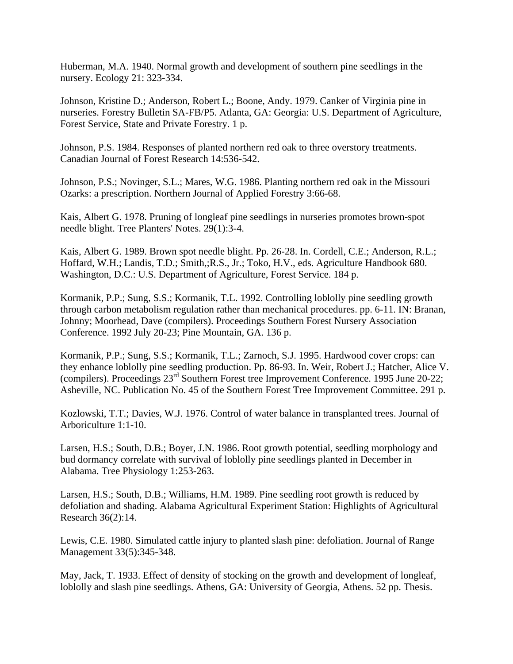Huberman, M.A. 1940. Normal growth and development of southern pine seedlings in the nursery. Ecology 21: 323-334.

Johnson, Kristine D.; Anderson, Robert L.; Boone, Andy. 1979. Canker of Virginia pine in nurseries. Forestry Bulletin SA-FB/P5. Atlanta, GA: Georgia: U.S. Department of Agriculture, Forest Service, State and Private Forestry. 1 p.

Johnson, P.S. 1984. Responses of planted northern red oak to three overstory treatments. Canadian Journal of Forest Research 14:536-542.

Johnson, P.S.; Novinger, S.L.; Mares, W.G. 1986. Planting northern red oak in the Missouri Ozarks: a prescription. Northern Journal of Applied Forestry 3:66-68.

Kais, Albert G. 1978. Pruning of longleaf pine seedlings in nurseries promotes brown-spot needle blight. Tree Planters' Notes. 29(1):3-4.

Kais, Albert G. 1989. Brown spot needle blight. Pp. 26-28. In. Cordell, C.E.; Anderson, R.L.; Hoffard, W.H.; Landis, T.D.; Smith,;R.S., Jr.; Toko, H.V., eds. Agriculture Handbook 680. Washington, D.C.: U.S. Department of Agriculture, Forest Service. 184 p.

Kormanik, P.P.; Sung, S.S.; Kormanik, T.L. 1992. Controlling loblolly pine seedling growth through carbon metabolism regulation rather than mechanical procedures. pp. 6-11. IN: Branan, Johnny; Moorhead, Dave (compilers). Proceedings Southern Forest Nursery Association Conference. 1992 July 20-23; Pine Mountain, GA. 136 p.

Kormanik, P.P.; Sung, S.S.; Kormanik, T.L.; Zarnoch, S.J. 1995. Hardwood cover crops: can they enhance loblolly pine seedling production. Pp. 86-93. In. Weir, Robert J.; Hatcher, Alice V. (compilers). Proceedings 23<sup>rd</sup> Southern Forest tree Improvement Conference. 1995 June 20-22; Asheville, NC. Publication No. 45 of the Southern Forest Tree Improvement Committee. 291 p.

Kozlowski, T.T.; Davies, W.J. 1976. Control of water balance in transplanted trees. Journal of Arboriculture 1:1-10.

Larsen, H.S.; South, D.B.; Boyer, J.N. 1986. Root growth potential, seedling morphology and bud dormancy correlate with survival of loblolly pine seedlings planted in December in Alabama. Tree Physiology 1:253-263.

Larsen, H.S.; South, D.B.; Williams, H.M. 1989. Pine seedling root growth is reduced by defoliation and shading. Alabama Agricultural Experiment Station: Highlights of Agricultural Research 36(2):14.

Lewis, C.E. 1980. Simulated cattle injury to planted slash pine: defoliation. Journal of Range Management 33(5):345-348.

May, Jack, T. 1933. Effect of density of stocking on the growth and development of longleaf, loblolly and slash pine seedlings. Athens, GA: University of Georgia, Athens. 52 pp. Thesis.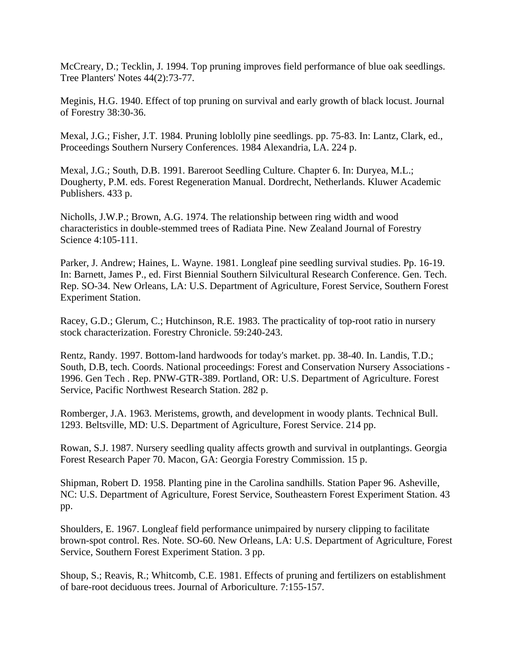McCreary, D.; Tecklin, J. 1994. Top pruning improves field performance of blue oak seedlings. Tree Planters' Notes 44(2):73-77.

Meginis, H.G. 1940. Effect of top pruning on survival and early growth of black locust. Journal of Forestry 38:30-36.

Mexal, J.G.; Fisher, J.T. 1984. Pruning loblolly pine seedlings. pp. 75-83. In: Lantz, Clark, ed., Proceedings Southern Nursery Conferences. 1984 Alexandria, LA. 224 p.

Mexal, J.G.; South, D.B. 1991. Bareroot Seedling Culture. Chapter 6. In: Duryea, M.L.; Dougherty, P.M. eds. Forest Regeneration Manual. Dordrecht, Netherlands. Kluwer Academic Publishers. 433 p.

Nicholls, J.W.P.; Brown, A.G. 1974. The relationship between ring width and wood characteristics in double-stemmed trees of Radiata Pine. New Zealand Journal of Forestry Science 4:105-111.

Parker, J. Andrew; Haines, L. Wayne. 1981. Longleaf pine seedling survival studies. Pp. 16-19. In: Barnett, James P., ed. First Biennial Southern Silvicultural Research Conference. Gen. Tech. Rep. SO-34. New Orleans, LA: U.S. Department of Agriculture, Forest Service, Southern Forest Experiment Station.

Racey, G.D.; Glerum, C.; Hutchinson, R.E. 1983. The practicality of top-root ratio in nursery stock characterization. Forestry Chronicle. 59:240-243.

Rentz, Randy. 1997. Bottom-land hardwoods for today's market. pp. 38-40. In. Landis, T.D.; South, D.B, tech. Coords. National proceedings: Forest and Conservation Nursery Associations - 1996. Gen Tech . Rep. PNW-GTR-389. Portland, OR: U.S. Department of Agriculture. Forest Service, Pacific Northwest Research Station. 282 p.

Romberger, J.A. 1963. Meristems, growth, and development in woody plants. Technical Bull. 1293. Beltsville, MD: U.S. Department of Agriculture, Forest Service. 214 pp.

Rowan, S.J. 1987. Nursery seedling quality affects growth and survival in outplantings. Georgia Forest Research Paper 70. Macon, GA: Georgia Forestry Commission. 15 p.

Shipman, Robert D. 1958. Planting pine in the Carolina sandhills. Station Paper 96. Asheville, NC: U.S. Department of Agriculture, Forest Service, Southeastern Forest Experiment Station. 43 pp.

Shoulders, E. 1967. Longleaf field performance unimpaired by nursery clipping to facilitate brown-spot control. Res. Note. SO-60. New Orleans, LA: U.S. Department of Agriculture, Forest Service, Southern Forest Experiment Station. 3 pp.

Shoup, S.; Reavis, R.; Whitcomb, C.E. 1981. Effects of pruning and fertilizers on establishment of bare-root deciduous trees. Journal of Arboriculture. 7:155-157.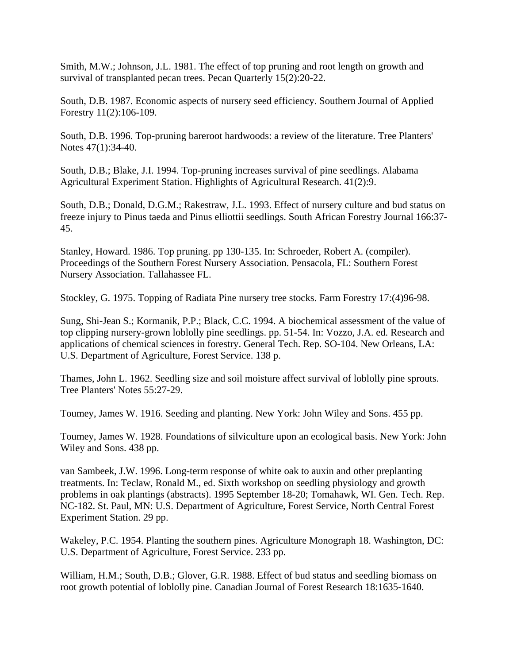Smith, M.W.; Johnson, J.L. 1981. The effect of top pruning and root length on growth and survival of transplanted pecan trees. Pecan Quarterly 15(2):20-22.

South, D.B. 1987. Economic aspects of nursery seed efficiency. Southern Journal of Applied Forestry 11(2):106-109.

South, D.B. 1996. Top-pruning bareroot hardwoods: a review of the literature. Tree Planters' Notes 47(1):34-40.

South, D.B.; Blake, J.I. 1994. Top-pruning increases survival of pine seedlings. Alabama Agricultural Experiment Station. Highlights of Agricultural Research. 41(2):9.

South, D.B.; Donald, D.G.M.; Rakestraw, J.L. 1993. Effect of nursery culture and bud status on freeze injury to Pinus taeda and Pinus elliottii seedlings. South African Forestry Journal 166:37- 45.

Stanley, Howard. 1986. Top pruning. pp 130-135. In: Schroeder, Robert A. (compiler). Proceedings of the Southern Forest Nursery Association. Pensacola, FL: Southern Forest Nursery Association. Tallahassee FL.

Stockley, G. 1975. Topping of Radiata Pine nursery tree stocks. Farm Forestry 17:(4)96-98.

Sung, Shi-Jean S.; Kormanik, P.P.; Black, C.C. 1994. A biochemical assessment of the value of top clipping nursery-grown loblolly pine seedlings. pp. 51-54. In: Vozzo, J.A. ed. Research and applications of chemical sciences in forestry. General Tech. Rep. SO-104. New Orleans, LA: U.S. Department of Agriculture, Forest Service. 138 p.

Thames, John L. 1962. Seedling size and soil moisture affect survival of loblolly pine sprouts. Tree Planters' Notes 55:27-29.

Toumey, James W. 1916. Seeding and planting. New York: John Wiley and Sons. 455 pp.

Toumey, James W. 1928. Foundations of silviculture upon an ecological basis. New York: John Wiley and Sons. 438 pp.

van Sambeek, J.W. 1996. Long-term response of white oak to auxin and other preplanting treatments. In: Teclaw, Ronald M., ed. Sixth workshop on seedling physiology and growth problems in oak plantings (abstracts). 1995 September 18-20; Tomahawk, WI. Gen. Tech. Rep. NC-182. St. Paul, MN: U.S. Department of Agriculture, Forest Service, North Central Forest Experiment Station. 29 pp.

Wakeley, P.C. 1954. Planting the southern pines. Agriculture Monograph 18. Washington, DC: U.S. Department of Agriculture, Forest Service. 233 pp.

William, H.M.; South, D.B.; Glover, G.R. 1988. Effect of bud status and seedling biomass on root growth potential of loblolly pine. Canadian Journal of Forest Research 18:1635-1640.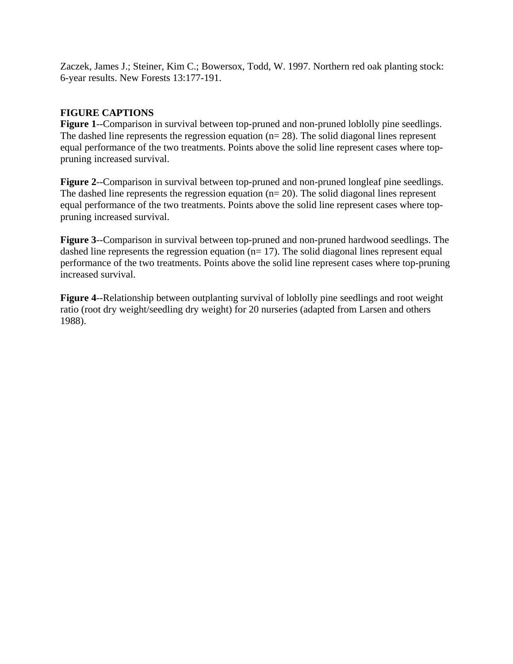Zaczek, James J.; Steiner, Kim C.; Bowersox, Todd, W. 1997. Northern red oak planting stock: 6-year results. New Forests 13:177-191.

## **FIGURE CAPTIONS**

**Figure 1**--Comparison in survival between top-pruned and non-pruned loblolly pine seedlings. The dashed line represents the regression equation ( $n= 28$ ). The solid diagonal lines represent equal performance of the two treatments. Points above the solid line represent cases where toppruning increased survival.

**Figure 2**--Comparison in survival between top-pruned and non-pruned longleaf pine seedlings. The dashed line represents the regression equation ( $n= 20$ ). The solid diagonal lines represent equal performance of the two treatments. Points above the solid line represent cases where toppruning increased survival.

**Figure 3**--Comparison in survival between top-pruned and non-pruned hardwood seedlings. The dashed line represents the regression equation ( $n= 17$ ). The solid diagonal lines represent equal performance of the two treatments. Points above the solid line represent cases where top-pruning increased survival.

**Figure 4**--Relationship between outplanting survival of loblolly pine seedlings and root weight ratio (root dry weight/seedling dry weight) for 20 nurseries (adapted from Larsen and others 1988).